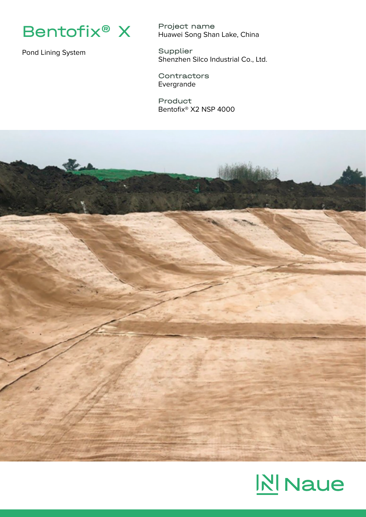

Pond Lining System

Project name Huawei Song Shan Lake, China

Supplier Shenzhen Silco Industrial Co., Ltd.

**Contractors** Evergrande

Product Bentofix® X2 NSP 4000